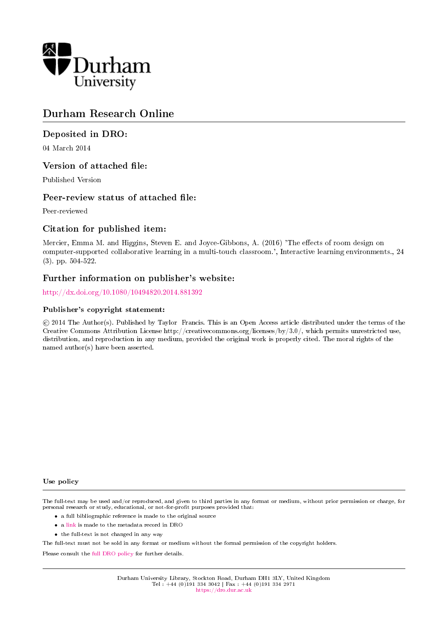

# Durham Research Online

# Deposited in DRO:

04 March 2014

# Version of attached file:

Published Version

# Peer-review status of attached file:

Peer-reviewed

# Citation for published item:

Mercier, Emma M. and Higgins, Steven E. and Joyce-Gibbons, A. (2016) 'The effects of room design on computer-supported collaborative learning in a multi-touch classroom.', Interactive learning environments., 24 (3). pp. 504-522.

# Further information on publisher's website:

<http://dx.doi.org/10.1080/10494820.2014.881392>

# Publisher's copyright statement:

 c 2014 The Author(s). Published by Taylor Francis. This is an Open Access article distributed under the terms of the Creative Commons Attribution License http://creativecommons.org/licenses/by/3.0/, which permits unrestricted use, distribution, and reproduction in any medium, provided the original work is properly cited. The moral rights of the named author(s) have been asserted.

#### Use policy

The full-text may be used and/or reproduced, and given to third parties in any format or medium, without prior permission or charge, for personal research or study, educational, or not-for-profit purposes provided that:

- a full bibliographic reference is made to the original source
- a [link](http://dro.dur.ac.uk/11885/) is made to the metadata record in DRO
- the full-text is not changed in any way

The full-text must not be sold in any format or medium without the formal permission of the copyright holders.

Please consult the [full DRO policy](https://dro.dur.ac.uk/policies/usepolicy.pdf) for further details.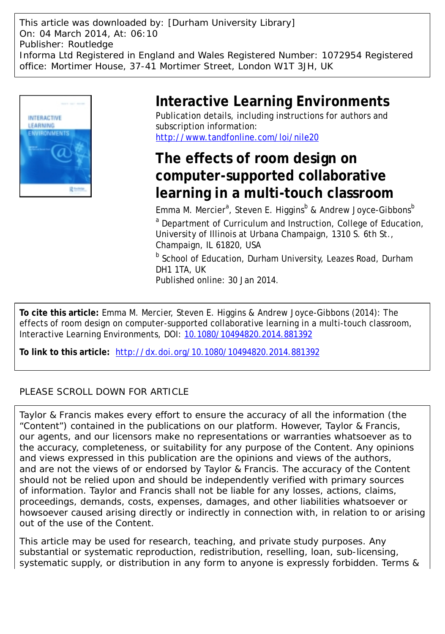This article was downloaded by: [Durham University Library] On: 04 March 2014, At: 06:10 Publisher: Routledge Informa Ltd Registered in England and Wales Registered Number: 1072954 Registered office: Mortimer House, 37-41 Mortimer Street, London W1T 3JH, UK



# **Interactive Learning Environments**

Publication details, including instructions for authors and subscription information: <http://www.tandfonline.com/loi/nile20>

# **The effects of room design on computer-supported collaborative learning in a multi-touch classroom**

Emma M. Mercier<sup>a</sup>, Steven E. Higgins<sup>b</sup> & Andrew Joyce-Gibbons<sup>b</sup>

<sup>a</sup> Department of Curriculum and Instruction, College of Education, University of Illinois at Urbana Champaign, 1310 S. 6th St., Champaign, IL 61820, USA

**b** School of Education, Durham University, Leazes Road, Durham DH1 1TA, UK

Published online: 30 Jan 2014.

**To cite this article:** Emma M. Mercier, Steven E. Higgins & Andrew Joyce-Gibbons (2014): The effects of room design on computer-supported collaborative learning in a multi-touch classroom, Interactive Learning Environments, DOI: [10.1080/10494820.2014.881392](http://www.tandfonline.com/action/showCitFormats?doi=10.1080/10494820.2014.881392)

**To link to this article:** <http://dx.doi.org/10.1080/10494820.2014.881392>

# PLEASE SCROLL DOWN FOR ARTICLE

Taylor & Francis makes every effort to ensure the accuracy of all the information (the "Content") contained in the publications on our platform. However, Taylor & Francis, our agents, and our licensors make no representations or warranties whatsoever as to the accuracy, completeness, or suitability for any purpose of the Content. Any opinions and views expressed in this publication are the opinions and views of the authors, and are not the views of or endorsed by Taylor & Francis. The accuracy of the Content should not be relied upon and should be independently verified with primary sources of information. Taylor and Francis shall not be liable for any losses, actions, claims, proceedings, demands, costs, expenses, damages, and other liabilities whatsoever or howsoever caused arising directly or indirectly in connection with, in relation to or arising out of the use of the Content.

This article may be used for research, teaching, and private study purposes. Any substantial or systematic reproduction, redistribution, reselling, loan, sub-licensing, systematic supply, or distribution in any form to anyone is expressly forbidden. Terms &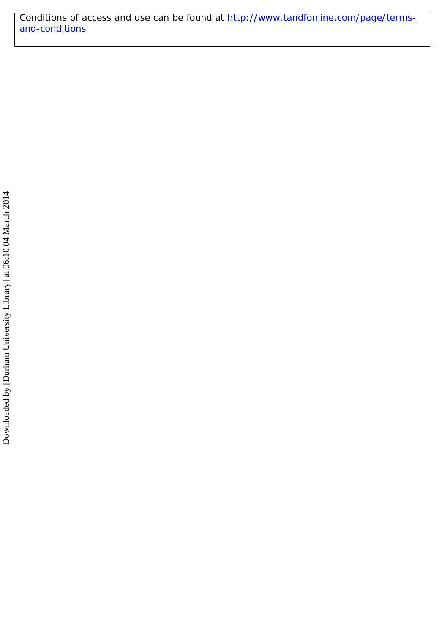Conditions of access and use can be found at [http://www.tandfonline.com/page/terms](http://www.tandfonline.com/page/terms-and-conditions)[and-conditions](http://www.tandfonline.com/page/terms-and-conditions)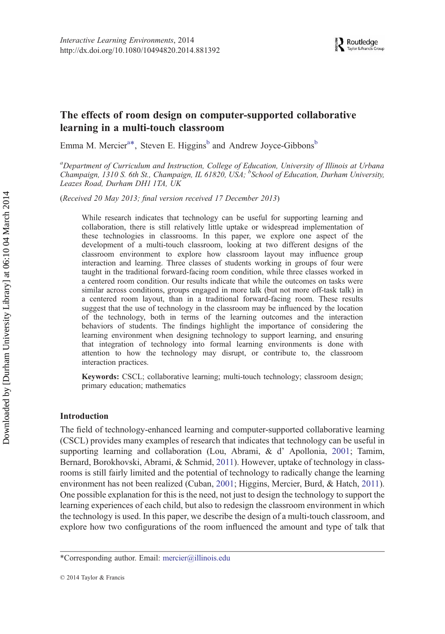# The effects of room design on computer-supported collaborative learning in a multi-touch classroom

Emma M. Mercier<sup>a\*</sup>, Steven E. Higgins<sup>b</sup> and Andrew Joyce-Gibbons<sup>b</sup>

<sup>a</sup>Department of Curriculum and Instruction, College of Education, University of Illinois at Urbana Champaign, 1310 S. 6th St., Champaign, IL 61820, USA; <sup>b</sup>School of Education, Durham University, Leazes Road, Durham DH1 1TA, UK

(Received 20 May 2013; final version received 17 December 2013)

While research indicates that technology can be useful for supporting learning and collaboration, there is still relatively little uptake or widespread implementation of these technologies in classrooms. In this paper, we explore one aspect of the development of a multi-touch classroom, looking at two different designs of the classroom environment to explore how classroom layout may influence group interaction and learning. Three classes of students working in groups of four were taught in the traditional forward-facing room condition, while three classes worked in a centered room condition. Our results indicate that while the outcomes on tasks were similar across conditions, groups engaged in more talk (but not more off-task talk) in a centered room layout, than in a traditional forward-facing room. These results suggest that the use of technology in the classroom may be influenced by the location of the technology, both in terms of the learning outcomes and the interaction behaviors of students. The findings highlight the importance of considering the learning environment when designing technology to support learning, and ensuring that integration of technology into formal learning environments is done with attention to how the technology may disrupt, or contribute to, the classroom interaction practices.

Keywords: CSCL; collaborative learning; multi-touch technology; classroom design; primary education; mathematics

#### Introduction

The field of technology-enhanced learning and computer-supported collaborative learning (CSCL) provides many examples of research that indicates that technology can be useful in supporting learning and collaboration (Lou, Abrami, & d' Apollonia, [2001](#page-20-0); Tamim, Bernard, Borokhovski, Abrami, & Schmid, [2011](#page-20-0)). However, uptake of technology in classrooms is still fairly limited and the potential of technology to radically change the learning environment has not been realized (Cuban, [2001;](#page-19-0) Higgins, Mercier, Burd, & Hatch, [2011\)](#page-20-0). One possible explanation for this is the need, not just to design the technology to support the learning experiences of each child, but also to redesign the classroom environment in which the technology is used. In this paper, we describe the design of a multi-touch classroom, and explore how two configurations of the room influenced the amount and type of talk that

<sup>\*</sup>Corresponding author. Email: [mercier@illinois.edu](mailto:mercier@illinois.edu)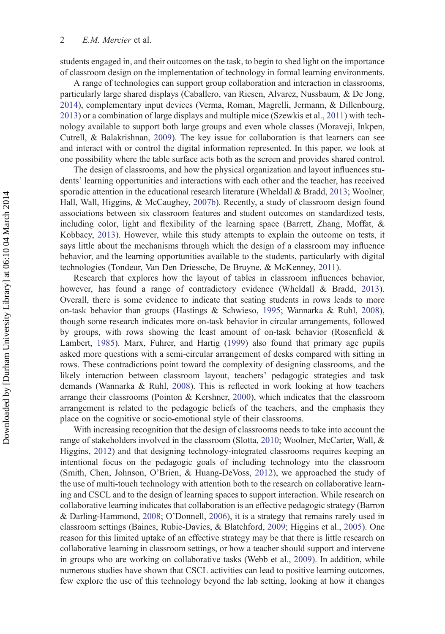students engaged in, and their outcomes on the task, to begin to shed light on the importance of classroom design on the implementation of technology in formal learning environments.

A range of technologies can support group collaboration and interaction in classrooms, particularly large shared displays (Caballero, van Riesen, Alvarez, Nussbaum, & De Jong, [2014\)](#page-19-0), complementary input devices (Verma, Roman, Magrelli, Jermann, & Dillenbourg, [2013\)](#page-20-0) or a combination of large displays and multiple mice (Szewkis et al., [2011\)](#page-20-0) with technology available to support both large groups and even whole classes (Moraveji, Inkpen, Cutrell, & Balakrishnan, [2009\)](#page-20-0). The key issue for collaboration is that learners can see and interact with or control the digital information represented. In this paper, we look at one possibility where the table surface acts both as the screen and provides shared control.

The design of classrooms, and how the physical organization and layout influences students' learning opportunities and interactions with each other and the teacher, has received sporadic attention in the educational research literature (Wheldall & Bradd, [2013](#page-21-0); Woolner, Hall, Wall, Higgins, & McCaughey, [2007b](#page-21-0)). Recently, a study of classroom design found associations between six classroom features and student outcomes on standardized tests, including color, light and flexibility of the learning space (Barrett, Zhang, Moffat, & Kobbacy, [2013](#page-19-0)). However, while this study attempts to explain the outcome on tests, it says little about the mechanisms through which the design of a classroom may influence behavior, and the learning opportunities available to the students, particularly with digital technologies (Tondeur, Van Den Driessche, De Bruyne, & McKenney, [2011\)](#page-20-0).

Research that explores how the layout of tables in classroom influences behavior, however, has found a range of contradictory evidence (Wheldall & Bradd, [2013\)](#page-21-0). Overall, there is some evidence to indicate that seating students in rows leads to more on-task behavior than groups (Hastings & Schwieso, [1995](#page-19-0); Wannarka & Ruhl, [2008\)](#page-21-0), though some research indicates more on-task behavior in circular arrangements, followed by groups, with rows showing the least amount of on-task behavior (Rosenfield & Lambert, [1985](#page-20-0)). Marx, Fuhrer, and Hartig ([1999\)](#page-20-0) also found that primary age pupils asked more questions with a semi-circular arrangement of desks compared with sitting in rows. These contradictions point toward the complexity of designing classrooms, and the likely interaction between classroom layout, teachers' pedagogic strategies and task demands (Wannarka & Ruhl, [2008](#page-21-0)). This is reflected in work looking at how teachers arrange their classrooms (Pointon & Kershner, [2000](#page-20-0)), which indicates that the classroom arrangement is related to the pedagogic beliefs of the teachers, and the emphasis they place on the cognitive or socio-emotional style of their classrooms.

With increasing recognition that the design of classrooms needs to take into account the range of stakeholders involved in the classroom (Slotta, [2010](#page-20-0); Woolner, McCarter, Wall, & Higgins, [2012](#page-21-0)) and that designing technology-integrated classrooms requires keeping an intentional focus on the pedagogic goals of including technology into the classroom (Smith, Chen, Johnson, O'Brien, & Huang-DeVoss, [2012\)](#page-20-0), we approached the study of the use of multi-touch technology with attention both to the research on collaborative learning and CSCL and to the design of learning spaces to support interaction. While research on collaborative learning indicates that collaboration is an effective pedagogic strategy (Barron & Darling-Hammond, [2008](#page-19-0); O'Donnell, [2006\)](#page-20-0), it is a strategy that remains rarely used in classroom settings (Baines, Rubie-Davies, & Blatchford, [2009;](#page-19-0) Higgins et al., [2005](#page-20-0)). One reason for this limited uptake of an effective strategy may be that there is little research on collaborative learning in classroom settings, or how a teacher should support and intervene in groups who are working on collaborative tasks (Webb et al., [2009\)](#page-21-0). In addition, while numerous studies have shown that CSCL activities can lead to positive learning outcomes, few explore the use of this technology beyond the lab setting, looking at how it changes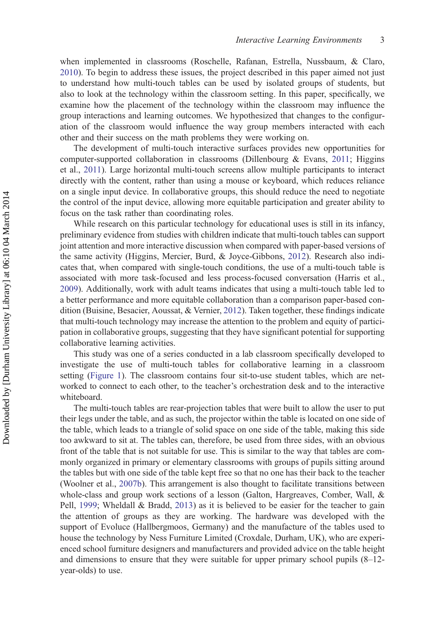when implemented in classrooms (Roschelle, Rafanan, Estrella, Nussbaum, & Claro, [2010\)](#page-20-0). To begin to address these issues, the project described in this paper aimed not just to understand how multi-touch tables can be used by isolated groups of students, but also to look at the technology within the classroom setting. In this paper, specifically, we examine how the placement of the technology within the classroom may influence the group interactions and learning outcomes. We hypothesized that changes to the configuration of the classroom would influence the way group members interacted with each other and their success on the math problems they were working on.

The development of multi-touch interactive surfaces provides new opportunities for computer-supported collaboration in classrooms (Dillenbourg & Evans, [2011;](#page-19-0) Higgins et al., [2011\)](#page-20-0). Large horizontal multi-touch screens allow multiple participants to interact directly with the content, rather than using a mouse or keyboard, which reduces reliance on a single input device. In collaborative groups, this should reduce the need to negotiate the control of the input device, allowing more equitable participation and greater ability to focus on the task rather than coordinating roles.

While research on this particular technology for educational uses is still in its infancy, preliminary evidence from studies with children indicate that multi-touch tables can support joint attention and more interactive discussion when compared with paper-based versions of the same activity (Higgins, Mercier, Burd, & Joyce-Gibbons, [2012](#page-20-0)). Research also indicates that, when compared with single-touch conditions, the use of a multi-touch table is associated with more task-focused and less process-focused conversation (Harris et al., [2009\)](#page-19-0). Additionally, work with adult teams indicates that using a multi-touch table led to a better performance and more equitable collaboration than a comparison paper-based condition (Buisine, Besacier, Aoussat, & Vernier, [2012\)](#page-19-0). Taken together, these findings indicate that multi-touch technology may increase the attention to the problem and equity of participation in collaborative groups, suggesting that they have significant potential for supporting collaborative learning activities.

This study was one of a series conducted in a lab classroom specifically developed to investigate the use of multi-touch tables for collaborative learning in a classroom setting [\(Figure 1\)](#page-6-0). The classroom contains four sit-to-use student tables, which are networked to connect to each other, to the teacher's orchestration desk and to the interactive whiteboard.

The multi-touch tables are rear-projection tables that were built to allow the user to put their legs under the table, and as such, the projector within the table is located on one side of the table, which leads to a triangle of solid space on one side of the table, making this side too awkward to sit at. The tables can, therefore, be used from three sides, with an obvious front of the table that is not suitable for use. This is similar to the way that tables are commonly organized in primary or elementary classrooms with groups of pupils sitting around the tables but with one side of the table kept free so that no one has their back to the teacher (Woolner et al., [2007b](#page-21-0)). This arrangement is also thought to facilitate transitions between whole-class and group work sections of a lesson (Galton, Hargreaves, Comber, Wall, & Pell, [1999;](#page-19-0) Wheldall & Bradd, [2013](#page-21-0)) as it is believed to be easier for the teacher to gain the attention of groups as they are working. The hardware was developed with the support of Evoluce (Hallbergmoos, Germany) and the manufacture of the tables used to house the technology by Ness Furniture Limited (Croxdale, Durham, UK), who are experienced school furniture designers and manufacturers and provided advice on the table height and dimensions to ensure that they were suitable for upper primary school pupils (8–12 year-olds) to use.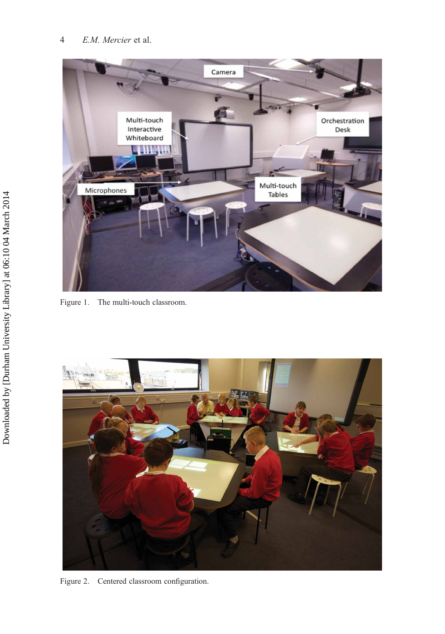<span id="page-6-0"></span>

Figure 1. The multi-touch classroom.



Figure 2. Centered classroom configuration.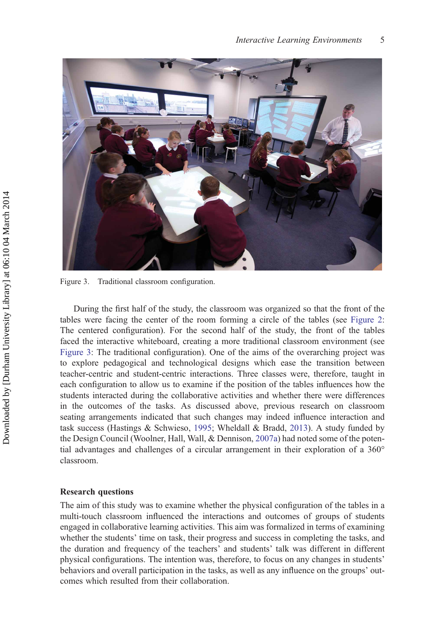

Figure 3. Traditional classroom configuration.

During the first half of the study, the classroom was organized so that the front of the tables were facing the center of the room forming a circle of the tables (see [Figure 2:](#page-6-0) The centered configuration). For the second half of the study, the front of the tables faced the interactive whiteboard, creating a more traditional classroom environment (see Figure 3: The traditional configuration). One of the aims of the overarching project was to explore pedagogical and technological designs which ease the transition between teacher-centric and student-centric interactions. Three classes were, therefore, taught in each configuration to allow us to examine if the position of the tables influences how the students interacted during the collaborative activities and whether there were differences in the outcomes of the tasks. As discussed above, previous research on classroom seating arrangements indicated that such changes may indeed influence interaction and task success (Hastings & Schwieso, [1995;](#page-19-0) Wheldall & Bradd, [2013](#page-21-0)). A study funded by the Design Council (Woolner, Hall, Wall, & Dennison, [2007a\)](#page-21-0) had noted some of the potential advantages and challenges of a circular arrangement in their exploration of a 360° classroom.

#### Research questions

The aim of this study was to examine whether the physical configuration of the tables in a multi-touch classroom influenced the interactions and outcomes of groups of students engaged in collaborative learning activities. This aim was formalized in terms of examining whether the students' time on task, their progress and success in completing the tasks, and the duration and frequency of the teachers' and students' talk was different in different physical configurations. The intention was, therefore, to focus on any changes in students' behaviors and overall participation in the tasks, as well as any influence on the groups' outcomes which resulted from their collaboration.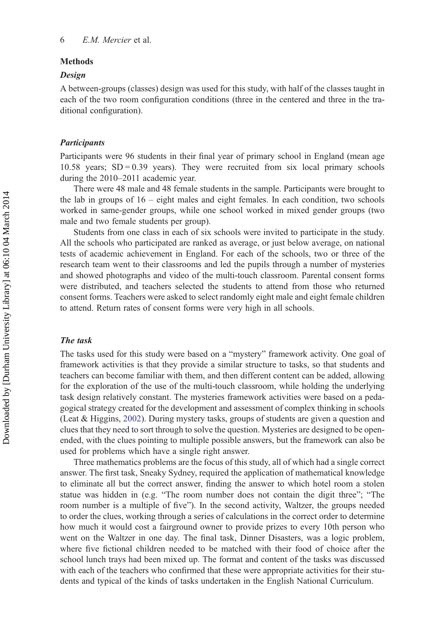# Methods

#### Design

A between-groups (classes) design was used for this study, with half of the classes taught in each of the two room configuration conditions (three in the centered and three in the traditional configuration).

#### **Participants**

Participants were 96 students in their final year of primary school in England (mean age 10.58 years;  $SD = 0.39$  years). They were recruited from six local primary schools during the 2010–2011 academic year.

There were 48 male and 48 female students in the sample. Participants were brought to the lab in groups of 16 – eight males and eight females. In each condition, two schools worked in same-gender groups, while one school worked in mixed gender groups (two male and two female students per group).

Students from one class in each of six schools were invited to participate in the study. All the schools who participated are ranked as average, or just below average, on national tests of academic achievement in England. For each of the schools, two or three of the research team went to their classrooms and led the pupils through a number of mysteries and showed photographs and video of the multi-touch classroom. Parental consent forms were distributed, and teachers selected the students to attend from those who returned consent forms. Teachers were asked to select randomly eight male and eight female children to attend. Return rates of consent forms were very high in all schools.

### The task

The tasks used for this study were based on a "mystery" framework activity. One goal of framework activities is that they provide a similar structure to tasks, so that students and teachers can become familiar with them, and then different content can be added, allowing for the exploration of the use of the multi-touch classroom, while holding the underlying task design relatively constant. The mysteries framework activities were based on a pedagogical strategy created for the development and assessment of complex thinking in schools (Leat & Higgins, [2002\)](#page-20-0). During mystery tasks, groups of students are given a question and clues that they need to sort through to solve the question. Mysteries are designed to be openended, with the clues pointing to multiple possible answers, but the framework can also be used for problems which have a single right answer.

Three mathematics problems are the focus of this study, all of which had a single correct answer. The first task, Sneaky Sydney, required the application of mathematical knowledge to eliminate all but the correct answer, finding the answer to which hotel room a stolen statue was hidden in (e.g. "The room number does not contain the digit three"; "The room number is a multiple of five"). In the second activity, Waltzer, the groups needed to order the clues, working through a series of calculations in the correct order to determine how much it would cost a fairground owner to provide prizes to every 10th person who went on the Waltzer in one day. The final task, Dinner Disasters, was a logic problem, where five fictional children needed to be matched with their food of choice after the school lunch trays had been mixed up. The format and content of the tasks was discussed with each of the teachers who confirmed that these were appropriate activities for their students and typical of the kinds of tasks undertaken in the English National Curriculum.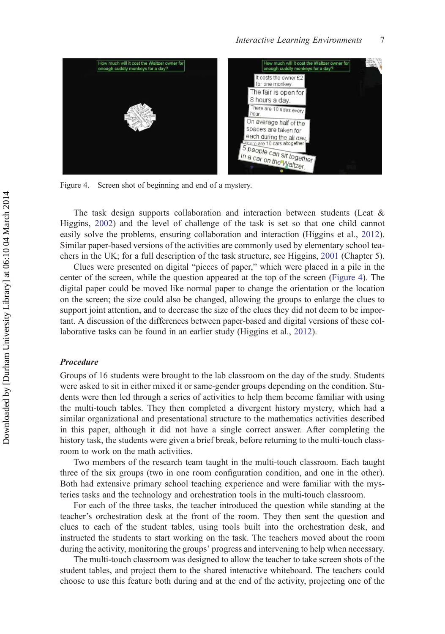![](_page_9_Picture_1.jpeg)

Figure 4. Screen shot of beginning and end of a mystery.

The task design supports collaboration and interaction between students (Leat & Higgins, [2002](#page-20-0)) and the level of challenge of the task is set so that one child cannot easily solve the problems, ensuring collaboration and interaction (Higgins et al., [2012\)](#page-20-0). Similar paper-based versions of the activities are commonly used by elementary school teachers in the UK; for a full description of the task structure, see Higgins, [2001](#page-19-0) (Chapter 5).

Clues were presented on digital "pieces of paper," which were placed in a pile in the center of the screen, while the question appeared at the top of the screen (Figure 4). The digital paper could be moved like normal paper to change the orientation or the location on the screen; the size could also be changed, allowing the groups to enlarge the clues to support joint attention, and to decrease the size of the clues they did not deem to be important. A discussion of the differences between paper-based and digital versions of these collaborative tasks can be found in an earlier study (Higgins et al., [2012\)](#page-20-0).

## Procedure

Groups of 16 students were brought to the lab classroom on the day of the study. Students were asked to sit in either mixed it or same-gender groups depending on the condition. Students were then led through a series of activities to help them become familiar with using the multi-touch tables. They then completed a divergent history mystery, which had a similar organizational and presentational structure to the mathematics activities described in this paper, although it did not have a single correct answer. After completing the history task, the students were given a brief break, before returning to the multi-touch classroom to work on the math activities.

Two members of the research team taught in the multi-touch classroom. Each taught three of the six groups (two in one room configuration condition, and one in the other). Both had extensive primary school teaching experience and were familiar with the mysteries tasks and the technology and orchestration tools in the multi-touch classroom.

For each of the three tasks, the teacher introduced the question while standing at the teacher's orchestration desk at the front of the room. They then sent the question and clues to each of the student tables, using tools built into the orchestration desk, and instructed the students to start working on the task. The teachers moved about the room during the activity, monitoring the groups' progress and intervening to help when necessary.

The multi-touch classroom was designed to allow the teacher to take screen shots of the student tables, and project them to the shared interactive whiteboard. The teachers could choose to use this feature both during and at the end of the activity, projecting one of the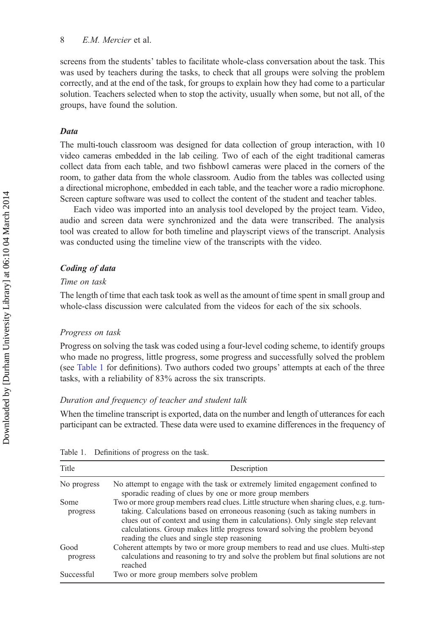screens from the students' tables to facilitate whole-class conversation about the task. This was used by teachers during the tasks, to check that all groups were solving the problem correctly, and at the end of the task, for groups to explain how they had come to a particular solution. Teachers selected when to stop the activity, usually when some, but not all, of the groups, have found the solution.

## **Data**

The multi-touch classroom was designed for data collection of group interaction, with 10 video cameras embedded in the lab ceiling. Two of each of the eight traditional cameras collect data from each table, and two fishbowl cameras were placed in the corners of the room, to gather data from the whole classroom. Audio from the tables was collected using a directional microphone, embedded in each table, and the teacher wore a radio microphone. Screen capture software was used to collect the content of the student and teacher tables.

Each video was imported into an analysis tool developed by the project team. Video, audio and screen data were synchronized and the data were transcribed. The analysis tool was created to allow for both timeline and playscript views of the transcript. Analysis was conducted using the timeline view of the transcripts with the video.

## Coding of data

## Time on task

The length of time that each task took as well as the amount of time spent in small group and whole-class discussion were calculated from the videos for each of the six schools.

## Progress on task

Progress on solving the task was coded using a four-level coding scheme, to identify groups who made no progress, little progress, some progress and successfully solved the problem (see Table 1 for definitions). Two authors coded two groups' attempts at each of the three tasks, with a reliability of 83% across the six transcripts.

# Duration and frequency of teacher and student talk

When the timeline transcript is exported, data on the number and length of utterances for each participant can be extracted. These data were used to examine differences in the frequency of

| Title            | Description                                                                                                                                                                                                                                                                                                                                                                            |
|------------------|----------------------------------------------------------------------------------------------------------------------------------------------------------------------------------------------------------------------------------------------------------------------------------------------------------------------------------------------------------------------------------------|
| No progress      | No attempt to engage with the task or extremely limited engagement confined to<br>sporadic reading of clues by one or more group members                                                                                                                                                                                                                                               |
| Some<br>progress | Two or more group members read clues. Little structure when sharing clues, e.g. turn-<br>taking. Calculations based on erroneous reasoning (such as taking numbers in<br>clues out of context and using them in calculations). Only single step relevant<br>calculations. Group makes little progress toward solving the problem beyond<br>reading the clues and single step reasoning |
| Good<br>progress | Coherent attempts by two or more group members to read and use clues. Multi-step<br>calculations and reasoning to try and solve the problem but final solutions are not<br>reached                                                                                                                                                                                                     |
| Successful       | Two or more group members solve problem                                                                                                                                                                                                                                                                                                                                                |

|  | Table 1. Definitions of progress on the task. |  |  |  |  |
|--|-----------------------------------------------|--|--|--|--|
|--|-----------------------------------------------|--|--|--|--|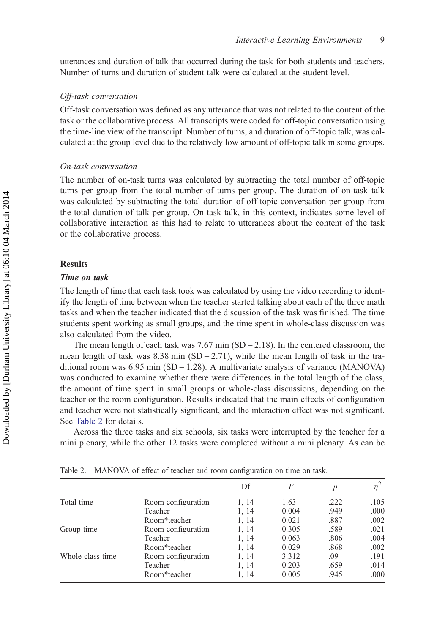utterances and duration of talk that occurred during the task for both students and teachers. Number of turns and duration of student talk were calculated at the student level.

## Off-task conversation

Off-task conversation was defined as any utterance that was not related to the content of the task or the collaborative process. All transcripts were coded for off-topic conversation using the time-line view of the transcript. Number of turns, and duration of off-topic talk, was calculated at the group level due to the relatively low amount of off-topic talk in some groups.

#### On-task conversation

The number of on-task turns was calculated by subtracting the total number of off-topic turns per group from the total number of turns per group. The duration of on-task talk was calculated by subtracting the total duration of off-topic conversation per group from the total duration of talk per group. On-task talk, in this context, indicates some level of collaborative interaction as this had to relate to utterances about the content of the task or the collaborative process.

#### **Results**

#### Time on task

The length of time that each task took was calculated by using the video recording to identify the length of time between when the teacher started talking about each of the three math tasks and when the teacher indicated that the discussion of the task was finished. The time students spent working as small groups, and the time spent in whole-class discussion was also calculated from the video.

The mean length of each task was  $7.67$  min (SD = 2.18). In the centered classroom, the mean length of task was  $8.38$  min (SD = 2.71), while the mean length of task in the traditional room was  $6.95$  min (SD = 1.28). A multivariate analysis of variance (MANOVA) was conducted to examine whether there were differences in the total length of the class, the amount of time spent in small groups or whole-class discussions, depending on the teacher or the room configuration. Results indicated that the main effects of configuration and teacher were not statistically significant, and the interaction effect was not significant. See Table 2 for details.

Across the three tasks and six schools, six tasks were interrupted by the teacher for a mini plenary, while the other 12 tasks were completed without a mini plenary. As can be

|                  |                    | Df    | F     | $\boldsymbol{p}$ | $\eta^{\cdot}$ |
|------------------|--------------------|-------|-------|------------------|----------------|
| Total time       | Room configuration | 1, 14 | 1.63  | .222             | .105           |
|                  | Teacher            | 1, 14 | 0.004 | .949             | .000           |
|                  | Room*teacher       | 1, 14 | 0.021 | .887             | .002           |
| Group time       | Room configuration | 1, 14 | 0.305 | .589             | .021           |
|                  | Teacher            | 1, 14 | 0.063 | .806             | .004           |
|                  | Room*teacher       | 1, 14 | 0.029 | .868             | .002           |
| Whole-class time | Room configuration | 1, 14 | 3.312 | .09              | .191           |
|                  | Teacher            | 1, 14 | 0.203 | .659             | .014           |
|                  | Room*teacher       | 1, 14 | 0.005 | .945             | .000           |

Table 2. MANOVA of effect of teacher and room configuration on time on task.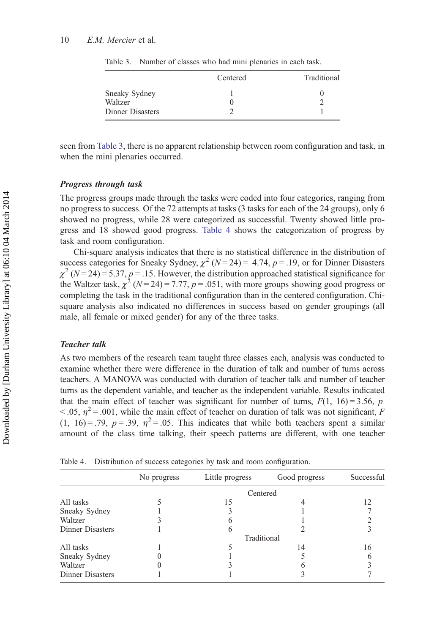|                  | Centered | Traditional |
|------------------|----------|-------------|
| Sneaky Sydney    |          |             |
| Waltzer          |          |             |
| Dinner Disasters |          |             |

<span id="page-12-0"></span>Table 3. Number of classes who had mini plenaries in each task.

seen from Table 3, there is no apparent relationship between room configuration and task, in when the mini plenaries occurred.

#### Progress through task

The progress groups made through the tasks were coded into four categories, ranging from no progress to success. Of the 72 attempts at tasks (3 tasks for each of the 24 groups), only 6 showed no progress, while 28 were categorized as successful. Twenty showed little progress and 18 showed good progress. Table 4 shows the categorization of progress by task and room configuration.

Chi-square analysis indicates that there is no statistical difference in the distribution of success categories for Sneaky Sydney,  $\chi^2$  (N = 24) = 4.74, p = .19, or for Dinner Disasters  $\chi^2$  (N = 24) = 5.37, p = .15. However, the distribution approached statistical significance for the Waltzer task,  $\chi^2$  (N = 24) = 7.77, p = .051, with more groups showing good progress or completing the task in the traditional configuration than in the centered configuration. Chisquare analysis also indicated no differences in success based on gender groupings (all male, all female or mixed gender) for any of the three tasks.

## Teacher talk

As two members of the research team taught three classes each, analysis was conducted to examine whether there were difference in the duration of talk and number of turns across teachers. A MANOVA was conducted with duration of teacher talk and number of teacher turns as the dependent variable, and teacher as the independent variable. Results indicated that the main effect of teacher was significant for number of turns,  $F(1, 16) = 3.56$ , p  $<$  0.05,  $\eta^2$  = 0.01, while the main effect of teacher on duration of talk was not significant, F  $(1, 16) = .79$ ,  $p = .39$ ,  $\eta^2 = .05$ . This indicates that while both teachers spent a similar amount of the class time talking, their speech patterns are different, with one teacher

|                  | No progress | Little progress | Good progress | Successful |
|------------------|-------------|-----------------|---------------|------------|
|                  |             | Centered        |               |            |
| All tasks        |             | 15              |               |            |
| Sneaky Sydney    |             |                 |               |            |
| Waltzer          |             |                 |               |            |
| Dinner Disasters |             |                 |               |            |
|                  |             | Traditional     |               |            |
| All tasks        |             |                 | 14            | 16         |
| Sneaky Sydney    |             |                 |               |            |
| Waltzer          |             |                 |               |            |
| Dinner Disasters |             |                 |               |            |

Table 4. Distribution of success categories by task and room configuration.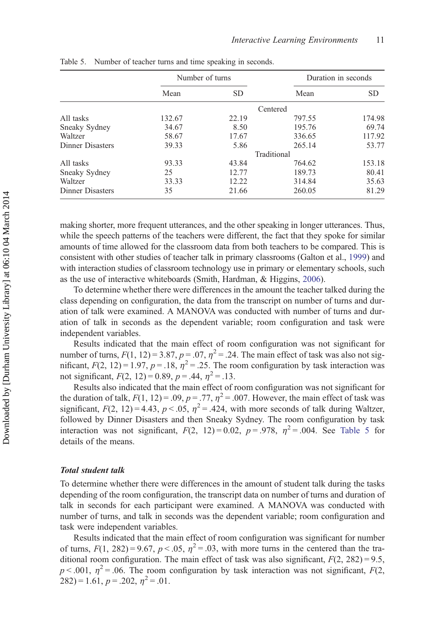|                         | Number of turns |           |             | Duration in seconds |
|-------------------------|-----------------|-----------|-------------|---------------------|
|                         | Mean            | <b>SD</b> | Mean        | <b>SD</b>           |
|                         |                 |           | Centered    |                     |
| All tasks               | 132.67          | 22.19     | 797.55      | 174.98              |
| Sneaky Sydney           | 34.67           | 8.50      | 195.76      | 69.74               |
| Waltzer                 | 58.67           | 17.67     | 336.65      | 117.92              |
| Dinner Disasters        | 39.33           | 5.86      | 265.14      | 53.77               |
|                         |                 |           | Traditional |                     |
| All tasks               | 93.33           | 43.84     | 764.62      | 153.18              |
| Sneaky Sydney           | 25              | 12.77     | 189.73      | 80.41               |
| Waltzer                 | 33.33           | 12.22     | 314.84      | 35.63               |
| <b>Dinner Disasters</b> | 35              | 21.66     | 260.05      | 81.29               |

Table 5. Number of teacher turns and time speaking in seconds.

making shorter, more frequent utterances, and the other speaking in longer utterances. Thus, while the speech patterns of the teachers were different, the fact that they spoke for similar amounts of time allowed for the classroom data from both teachers to be compared. This is consistent with other studies of teacher talk in primary classrooms (Galton et al., [1999](#page-19-0)) and with interaction studies of classroom technology use in primary or elementary schools, such as the use of interactive whiteboards (Smith, Hardman, & Higgins, [2006](#page-20-0)).

To determine whether there were differences in the amount the teacher talked during the class depending on configuration, the data from the transcript on number of turns and duration of talk were examined. A MANOVA was conducted with number of turns and duration of talk in seconds as the dependent variable; room configuration and task were independent variables.

Results indicated that the main effect of room configuration was not significant for number of turns,  $F(1, 12) = 3.87$ ,  $p = .07$ ,  $\eta^2 = .24$ . The main effect of task was also not significant,  $F(2, 12) = 1.97$ ,  $p = .18$ ,  $p^2 = .25$ . The room configuration by task interaction was not significant,  $F(2, 12) = 0.89$ ,  $p = .44$ ,  $\eta^2 = .13$ .

Results also indicated that the main effect of room configuration was not significant for the duration of talk,  $F(1, 12) = .09$ ,  $p = .77$ ,  $\eta^2 = .007$ . However, the main effect of task was significant,  $F(2, 12) = 4.43$ ,  $p < .05$ ,  $\eta^2 = .424$ , with more seconds of talk during Waltzer, followed by Dinner Disasters and then Sneaky Sydney. The room configuration by task interaction was not significant,  $F(2, 12) = 0.02$ ,  $p = .978$ ,  $\eta^2 = .004$ . See Table 5 for details of the means.

#### Total student talk

To determine whether there were differences in the amount of student talk during the tasks depending of the room configuration, the transcript data on number of turns and duration of talk in seconds for each participant were examined. A MANOVA was conducted with number of turns, and talk in seconds was the dependent variable; room configuration and task were independent variables.

Results indicated that the main effect of room configuration was significant for number of turns,  $F(1, 282) = 9.67$ ,  $p < .05$ ,  $\eta^2 = .03$ , with more turns in the centered than the traditional room configuration. The main effect of task was also significant,  $F(2, 282) = 9.5$ ,  $p < .001$ ,  $\eta^2 = .06$ . The room configuration by task interaction was not significant,  $F(2)$ ,  $282$ ) = 1.61,  $p = .202$ ,  $\eta^2 = .01$ .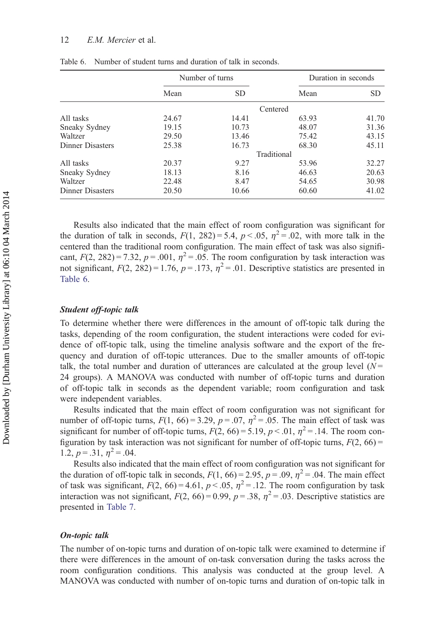#### 12 E.M. Mercier et al.

|                  | Number of turns |           |             | Duration in seconds |
|------------------|-----------------|-----------|-------------|---------------------|
|                  | Mean            | <b>SD</b> | Mean        | <b>SD</b>           |
|                  |                 |           | Centered    |                     |
| All tasks        | 24.67           | 14.41     | 63.93       | 41.70               |
| Sneaky Sydney    | 19.15           | 10.73     | 48.07       | 31.36               |
| Waltzer          | 29.50           | 13.46     | 75.42       | 43.15               |
| Dinner Disasters | 25.38           | 16.73     | 68.30       | 45.11               |
|                  |                 |           | Traditional |                     |
| All tasks        | 20.37           | 9.27      | 53.96       | 32.27               |
| Sneaky Sydney    | 18.13           | 8.16      | 46.63       | 20.63               |
| Waltzer          | 22.48           | 8.47      | 54.65       | 30.98               |
| Dinner Disasters | 20.50           | 10.66     | 60.60       | 41.02               |

Table 6. Number of student turns and duration of talk in seconds.

Results also indicated that the main effect of room configuration was significant for the duration of talk in seconds,  $F(1, 282) = 5.4$ ,  $p < .05$ ,  $\eta^2 = .02$ , with more talk in the centered than the traditional room configuration. The main effect of task was also significant,  $F(2, 282) = 7.32$ ,  $p = .001$ ,  $\eta^2 = .05$ . The room configuration by task interaction was not significant,  $F(2, 282) = 1.76$ ,  $p = .173$ ,  $\eta^2 = .01$ . Descriptive statistics are presented in Table 6.

## Student off-topic talk

To determine whether there were differences in the amount of off-topic talk during the tasks, depending of the room configuration, the student interactions were coded for evidence of off-topic talk, using the timeline analysis software and the export of the frequency and duration of off-topic utterances. Due to the smaller amounts of off-topic talk, the total number and duration of utterances are calculated at the group level  $(N = 1)$ 24 groups). A MANOVA was conducted with number of off-topic turns and duration of off-topic talk in seconds as the dependent variable; room configuration and task were independent variables.

Results indicated that the main effect of room configuration was not significant for number of off-topic turns,  $F(1, 66) = 3.29$ ,  $p = .07$ ,  $\eta^2 = .05$ . The main effect of task was significant for number of off-topic turns,  $F(2, 66) = 5.19$ ,  $p < .01$ ,  $\eta^2 = .14$ . The room configuration by task interaction was not significant for number of off-topic turns,  $F(2, 66)$  = 1.2,  $p = .31$ ,  $\eta^2 = .04$ .

Results also indicated that the main effect of room configuration was not significant for the duration of off-topic talk in seconds,  $F(1, 66) = 2.95$ ,  $p = .09$ ,  $\eta^2 = .04$ . The main effect of task was significant,  $F(2, 66) = 4.61$ ,  $p < .05$ ,  $\eta^2 = .12$ . The room configuration by task interaction was not significant,  $F(2, 66) = 0.99$ ,  $p = .38$ ,  $\eta^2 = .03$ . Descriptive statistics are presented in [Table 7](#page-15-0).

#### On-topic talk

The number of on-topic turns and duration of on-topic talk were examined to determine if there were differences in the amount of on-task conversation during the tasks across the room configuration conditions. This analysis was conducted at the group level. A MANOVA was conducted with number of on-topic turns and duration of on-topic talk in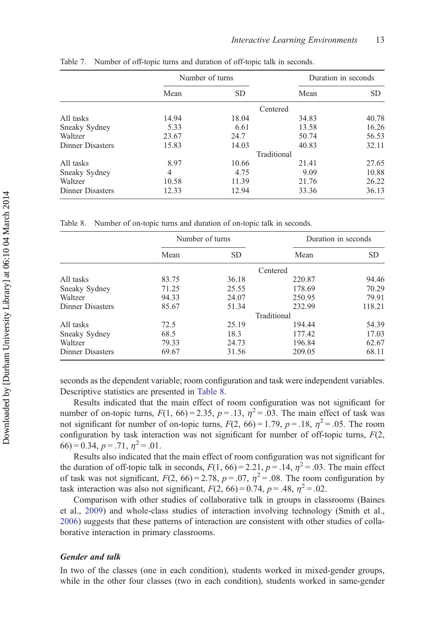|                  | Number of turns |           |             | Duration in seconds |
|------------------|-----------------|-----------|-------------|---------------------|
|                  | Mean            | <b>SD</b> | Mean        | <b>SD</b>           |
|                  |                 |           | Centered    |                     |
| All tasks        | 14.94           | 18.04     | 34.83       | 40.78               |
| Sneaky Sydney    | 5.33            | 6.61      | 13.58       | 16.26               |
| Waltzer          | 23.67           | 24.7      | 50.74       | 56.53               |
| Dinner Disasters | 15.83           | 14.03     | 40.83       | 32.11               |
|                  |                 |           | Traditional |                     |
| All tasks        | 8.97            | 10.66     | 21.41       | 27.65               |
| Sneaky Sydney    | 4               | 4.75      | 9.09        | 10.88               |
| Waltzer          | 10.58           | 11.39     | 21.76       | 26.22               |
| Dinner Disasters | 12.33           | 12.94     | 33.36       | 36.13               |

<span id="page-15-0"></span>Table 7. Number of off-topic turns and duration of off-topic talk in seconds.

Table 8. Number of on-topic turns and duration of on-topic talk in seconds.

|                  | Number of turns |           |             | Duration in seconds |
|------------------|-----------------|-----------|-------------|---------------------|
|                  | Mean            | <b>SD</b> | Mean        | <b>SD</b>           |
|                  |                 |           | Centered    |                     |
| All tasks        | 83.75           | 36.18     | 220.87      | 94.46               |
| Sneaky Sydney    | 71.25           | 25.55     | 178.69      | 70.29               |
| Waltzer          | 94.33           | 24.07     | 250.95      | 79.91               |
| Dinner Disasters | 85.67           | 51.34     | 232.99      | 118.21              |
|                  |                 |           | Traditional |                     |
| All tasks        | 72.5            | 25.19     | 194.44      | 54.39               |
| Sneaky Sydney    | 68.5            | 18.3      | 177.42      | 17.03               |
| Waltzer          | 79.33           | 24.73     | 196.84      | 62.67               |
| Dinner Disasters | 69.67           | 31.56     | 209.05      | 68.11               |

seconds as the dependent variable; room configuration and task were independent variables. Descriptive statistics are presented in Table 8.

Results indicated that the main effect of room configuration was not significant for number of on-topic turns,  $F(1, 66) = 2.35$ ,  $p = .13$ ,  $\eta^2 = .03$ . The main effect of task was not significant for number of on-topic turns,  $F(2, 66) = 1.79$ ,  $p = .18$ ,  $\eta^2 = .05$ . The room configuration by task interaction was not significant for number of off-topic turns,  $F(2, 1)$  $(66) = 0.34, p = .71, \eta^2 = .01.$ 

Results also indicated that the main effect of room configuration was not significant for the duration of off-topic talk in seconds,  $F(1, 66) = 2.21$ ,  $p = .14$ ,  $\eta^2 = .03$ . The main effect of task was not significant,  $F(2, 66) = 2.78$ ,  $p = .07$ ,  $\eta^2 = .08$ . The room configuration by task interaction was also not significant,  $F(2, 66) = 0.74$ ,  $p = .48$ ,  $\eta^2 = .02$ .

Comparison with other studies of collaborative talk in groups in classrooms (Baines et al., [2009](#page-19-0)) and whole-class studies of interaction involving technology (Smith et al., [2006\)](#page-20-0) suggests that these patterns of interaction are consistent with other studies of collaborative interaction in primary classrooms.

#### Gender and talk

In two of the classes (one in each condition), students worked in mixed-gender groups, while in the other four classes (two in each condition), students worked in same-gender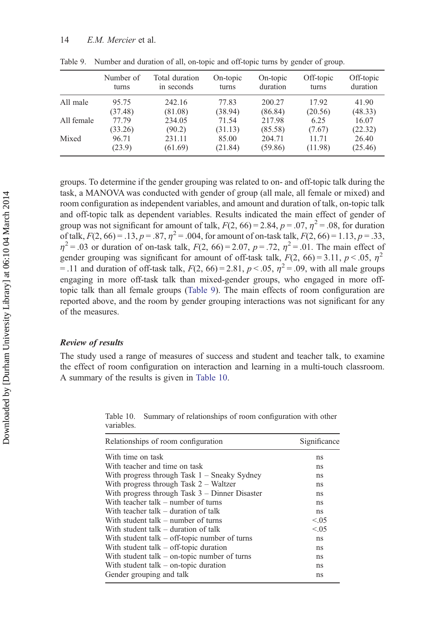|            | Number of<br>turns | Total duration<br>in seconds | On-topic<br>turns | On-topic<br>duration | Off-topic<br>turns | Off-topic<br>duration |
|------------|--------------------|------------------------------|-------------------|----------------------|--------------------|-----------------------|
| All male   | 95.75              | 242.16                       | 77.83             | 200.27               | 17.92              | 41.90                 |
|            | (37.48)            | (81.08)                      | (38.94)           | (86.84)              | (20.56)            | (48.33)               |
| All female | 77.79              | 234.05                       | 71.54             | 217.98               | 6.25               | 16.07                 |
|            | (33.26)            | (90.2)                       | (31.13)           | (85.58)              | (7.67)             | (22.32)               |
| Mixed      | 96.71              | 231.11                       | 85.00             | 204.71               | 11.71              | 26.40                 |
|            | (23.9)             | (61.69)                      | (21.84)           | (59.86)              | (11.98)            | (25.46)               |

<span id="page-16-0"></span>Table 9. Number and duration of all, on-topic and off-topic turns by gender of group.

groups. To determine if the gender grouping was related to on- and off-topic talk during the task, a MANOVA was conducted with gender of group (all male, all female or mixed) and room configuration as independent variables, and amount and duration of talk, on-topic talk and off-topic talk as dependent variables. Results indicated the main effect of gender of group was not significant for amount of talk,  $F(2, 66) = 2.84$ ,  $p = .07$ ,  $\eta^2 = .08$ , for duration of talk,  $F(2, 66) = .13$ ,  $p = .87$ ,  $\eta^2 = .004$ , for amount of on-task talk,  $F(2, 66) = 1.13$ ,  $p = .33$ ,  $\eta^2$  = .03 or duration of on-task talk,  $F(2, 66)$  = 2.07,  $p = .72$ ,  $\eta^2$  = .01. The main effect of gender grouping was significant for amount of off-task talk,  $F(2, 66) = 3.11$ ,  $p < .05$ ,  $\eta^2$ = .11 and duration of off-task talk,  $F(2, 66) = 2.81$ ,  $p < .05$ ,  $\eta^2 = .09$ , with all male groups engaging in more off-task talk than mixed-gender groups, who engaged in more offtopic talk than all female groups (Table 9). The main effects of room configuration are reported above, and the room by gender grouping interactions was not significant for any of the measures.

## Review of results

The study used a range of measures of success and student and teacher talk, to examine the effect of room configuration on interaction and learning in a multi-touch classroom. A summary of the results is given in Table 10.

| Relationships of room configuration              | Significance |
|--------------------------------------------------|--------------|
| With time on task                                | ns           |
| With teacher and time on task                    | ns           |
| With progress through Task $1 -$ Sneaky Sydney   | ns           |
| With progress through Task $2$ – Waltzer         | ns           |
| With progress through Task $3$ – Dinner Disaster | ns           |
| With teacher talk $-$ number of turns            | ns           |
| With teacher talk $-$ duration of talk           | ns           |
| With student talk – number of turns              | < 0.05       |
| With student talk – duration of talk             | < 0.05       |
| With student talk $-$ off-topic number of turns  | ns           |
| With student talk $-$ off-topic duration         | ns           |
| With student talk $-$ on-topic number of turns   | ns           |
| With student talk $-$ on-topic duration          | ns           |
| Gender grouping and talk                         | ns           |

Table 10. Summary of relationships of room configuration with other variables.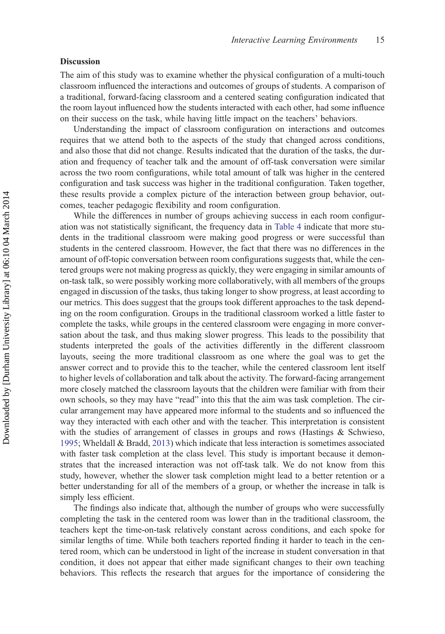## Discussion

The aim of this study was to examine whether the physical configuration of a multi-touch classroom influenced the interactions and outcomes of groups of students. A comparison of a traditional, forward-facing classroom and a centered seating configuration indicated that the room layout influenced how the students interacted with each other, had some influence on their success on the task, while having little impact on the teachers' behaviors.

Understanding the impact of classroom configuration on interactions and outcomes requires that we attend both to the aspects of the study that changed across conditions, and also those that did not change. Results indicated that the duration of the tasks, the duration and frequency of teacher talk and the amount of off-task conversation were similar across the two room configurations, while total amount of talk was higher in the centered configuration and task success was higher in the traditional configuration. Taken together, these results provide a complex picture of the interaction between group behavior, outcomes, teacher pedagogic flexibility and room configuration.

While the differences in number of groups achieving success in each room configuration was not statistically significant, the frequency data in [Table 4](#page-12-0) indicate that more students in the traditional classroom were making good progress or were successful than students in the centered classroom. However, the fact that there was no differences in the amount of off-topic conversation between room configurations suggests that, while the centered groups were not making progress as quickly, they were engaging in similar amounts of on-task talk, so were possibly working more collaboratively, with all members of the groups engaged in discussion of the tasks, thus taking longer to show progress, at least according to our metrics. This does suggest that the groups took different approaches to the task depending on the room configuration. Groups in the traditional classroom worked a little faster to complete the tasks, while groups in the centered classroom were engaging in more conversation about the task, and thus making slower progress. This leads to the possibility that students interpreted the goals of the activities differently in the different classroom layouts, seeing the more traditional classroom as one where the goal was to get the answer correct and to provide this to the teacher, while the centered classroom lent itself to higher levels of collaboration and talk about the activity. The forward-facing arrangement more closely matched the classroom layouts that the children were familiar with from their own schools, so they may have "read" into this that the aim was task completion. The circular arrangement may have appeared more informal to the students and so influenced the way they interacted with each other and with the teacher. This interpretation is consistent with the studies of arrangement of classes in groups and rows (Hastings & Schwieso, [1995;](#page-19-0) Wheldall & Bradd, [2013\)](#page-21-0) which indicate that less interaction is sometimes associated with faster task completion at the class level. This study is important because it demonstrates that the increased interaction was not off-task talk. We do not know from this study, however, whether the slower task completion might lead to a better retention or a better understanding for all of the members of a group, or whether the increase in talk is simply less efficient.

The findings also indicate that, although the number of groups who were successfully completing the task in the centered room was lower than in the traditional classroom, the teachers kept the time-on-task relatively constant across conditions, and each spoke for similar lengths of time. While both teachers reported finding it harder to teach in the centered room, which can be understood in light of the increase in student conversation in that condition, it does not appear that either made significant changes to their own teaching behaviors. This reflects the research that argues for the importance of considering the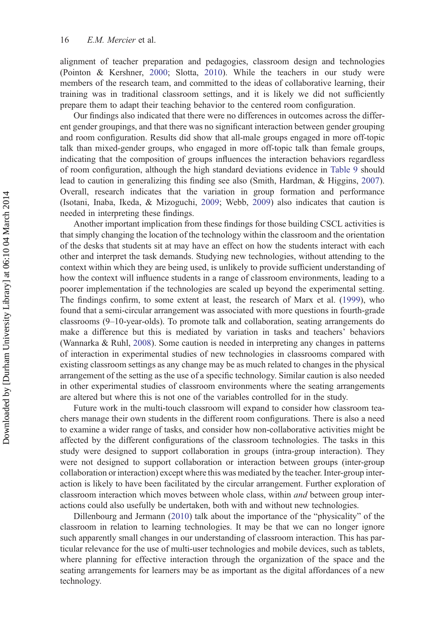alignment of teacher preparation and pedagogies, classroom design and technologies (Pointon & Kershner, [2000;](#page-20-0) Slotta, [2010\)](#page-20-0). While the teachers in our study were members of the research team, and committed to the ideas of collaborative learning, their training was in traditional classroom settings, and it is likely we did not sufficiently prepare them to adapt their teaching behavior to the centered room configuration.

Our findings also indicated that there were no differences in outcomes across the different gender groupings, and that there was no significant interaction between gender grouping and room configuration. Results did show that all-male groups engaged in more off-topic talk than mixed-gender groups, who engaged in more off-topic talk than female groups, indicating that the composition of groups influences the interaction behaviors regardless of room configuration, although the high standard deviations evidence in [Table 9](#page-16-0) should lead to caution in generalizing this finding see also (Smith, Hardman, & Higgins, [2007\)](#page-20-0). Overall, research indicates that the variation in group formation and performance (Isotani, Inaba, Ikeda, & Mizoguchi, [2009](#page-20-0); Webb, [2009](#page-21-0)) also indicates that caution is needed in interpreting these findings.

Another important implication from these findings for those building CSCL activities is that simply changing the location of the technology within the classroom and the orientation of the desks that students sit at may have an effect on how the students interact with each other and interpret the task demands. Studying new technologies, without attending to the context within which they are being used, is unlikely to provide sufficient understanding of how the context will influence students in a range of classroom environments, leading to a poorer implementation if the technologies are scaled up beyond the experimental setting. The findings confirm, to some extent at least, the research of Marx et al. ([1999\)](#page-20-0), who found that a semi-circular arrangement was associated with more questions in fourth-grade classrooms (9–10-year-olds). To promote talk and collaboration, seating arrangements do make a difference but this is mediated by variation in tasks and teachers' behaviors (Wannarka & Ruhl, [2008\)](#page-21-0). Some caution is needed in interpreting any changes in patterns of interaction in experimental studies of new technologies in classrooms compared with existing classroom settings as any change may be as much related to changes in the physical arrangement of the setting as the use of a specific technology. Similar caution is also needed in other experimental studies of classroom environments where the seating arrangements are altered but where this is not one of the variables controlled for in the study.

Future work in the multi-touch classroom will expand to consider how classroom teachers manage their own students in the different room configurations. There is also a need to examine a wider range of tasks, and consider how non-collaborative activities might be affected by the different configurations of the classroom technologies. The tasks in this study were designed to support collaboration in groups (intra-group interaction). They were not designed to support collaboration or interaction between groups (inter-group collaboration or interaction) except where this was mediated by the teacher. Inter-group interaction is likely to have been facilitated by the circular arrangement. Further exploration of classroom interaction which moves between whole class, within and between group interactions could also usefully be undertaken, both with and without new technologies.

Dillenbourg and Jermann ([2010\)](#page-19-0) talk about the importance of the "physicality" of the classroom in relation to learning technologies. It may be that we can no longer ignore such apparently small changes in our understanding of classroom interaction. This has particular relevance for the use of multi-user technologies and mobile devices, such as tablets, where planning for effective interaction through the organization of the space and the seating arrangements for learners may be as important as the digital affordances of a new technology.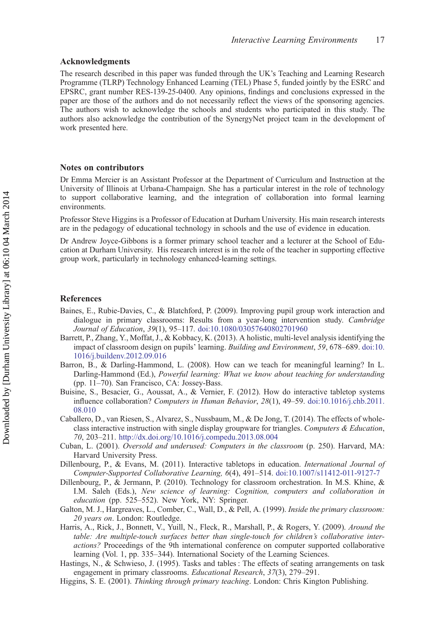## <span id="page-19-0"></span>Acknowledgments

The research described in this paper was funded through the UK's Teaching and Learning Research Programme (TLRP) Technology Enhanced Learning (TEL) Phase 5, funded jointly by the ESRC and EPSRC, grant number RES-139-25-0400. Any opinions, findings and conclusions expressed in the paper are those of the authors and do not necessarily reflect the views of the sponsoring agencies. The authors wish to acknowledge the schools and students who participated in this study. The authors also acknowledge the contribution of the SynergyNet project team in the development of work presented here.

#### Notes on contributors

Dr Emma Mercier is an Assistant Professor at the Department of Curriculum and Instruction at the University of Illinois at Urbana-Champaign. She has a particular interest in the role of technology to support collaborative learning, and the integration of collaboration into formal learning environments.

Professor Steve Higgins is a Professor of Education at Durham University. His main research interests are in the pedagogy of educational technology in schools and the use of evidence in education.

Dr Andrew Joyce-Gibbons is a former primary school teacher and a lecturer at the School of Education at Durham University. His research interest is in the role of the teacher in supporting effective group work, particularly in technology enhanced-learning settings.

#### References

- Baines, E., Rubie-Davies, C., & Blatchford, P. (2009). Improving pupil group work interaction and dialogue in primary classrooms: Results from a year-long intervention study. Cambridge Journal of Education, 39(1), 95–117. [doi:10.1080/03057640802701960](http://dx.doi.org/10.1080/03057640802701960)
- Barrett, P., Zhang, Y., Moffat, J., & Kobbacy, K. (2013). A holistic, multi-level analysis identifying the impact of classroom design on pupils' learning. Building and Environment, 59, 678–689. [doi:10.](http://dx.doi.org/10.1016/j.buildenv.2012.09.016) [1016/j.buildenv.2012.09.016](http://dx.doi.org/10.1016/j.buildenv.2012.09.016)
- Barron, B., & Darling-Hammond, L. (2008). How can we teach for meaningful learning? In L. Darling-Hammond (Ed.), Powerful learning: What we know about teaching for understanding (pp. 11–70). San Francisco, CA: Jossey-Bass.
- Buisine, S., Besacier, G., Aoussat, A., & Vernier, F. (2012). How do interactive tabletop systems influence collaboration? Computers in Human Behavior, 28(1), 49–59. [doi:10.1016/j.chb.2011.](http://dx.doi.org/10.1016/j.chb.2011.08.010) [08.010](http://dx.doi.org/10.1016/j.chb.2011.08.010)
- Caballero, D., van Riesen, S., Alvarez, S., Nussbaum, M., & De Jong, T. (2014). The effects of wholeclass interactive instruction with single display groupware for triangles. Computers  $\&$  Education, 70, 203–211. <http://dx.doi.org/10.1016/j.compedu.2013.08.004>
- Cuban, L. (2001). Oversold and underused: Computers in the classroom (p. 250). Harvard, MA: Harvard University Press.
- Dillenbourg, P., & Evans, M. (2011). Interactive tabletops in education. International Journal of Computer-Supported Collaborative Learning, 6(4), 491–514. [doi:10.1007/s11412-011-9127-7](http://dx.doi.org/10.1007/s11412-011-9127-7)
- Dillenbourg, P., & Jermann, P. (2010). Technology for classroom orchestration. In M.S. Khine, & I.M. Saleh (Eds.), New science of learning: Cognition, computers and collaboration in education (pp. 525–552). New York, NY: Springer.
- Galton, M. J., Hargreaves, L., Comber, C., Wall, D., & Pell, A. (1999). Inside the primary classroom: 20 years on. London: Routledge.
- Harris, A., Rick, J., Bonnett, V., Yuill, N., Fleck, R., Marshall, P., & Rogers, Y. (2009). Around the table: Are multiple-touch surfaces better than single-touch for children's collaborative interactions? Proceedings of the 9th international conference on computer supported collaborative learning (Vol. 1, pp. 335–344). International Society of the Learning Sciences.
- Hastings, N., & Schwieso, J. (1995). Tasks and tables : The effects of seating arrangements on task engagement in primary classrooms. Educational Research, 37(3), 279–291.
- Higgins, S. E. (2001). Thinking through primary teaching. London: Chris Kington Publishing.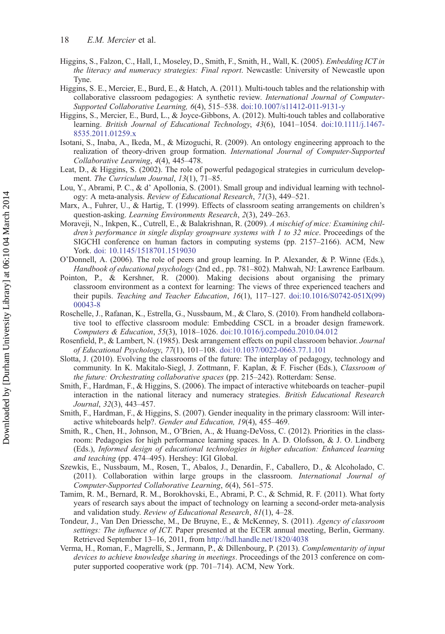- <span id="page-20-0"></span>Higgins, S., Falzon, C., Hall, I., Moseley, D., Smith, F., Smith, H., Wall, K. (2005). Embedding ICT in the literacy and numeracy strategies: Final report. Newcastle: University of Newcastle upon Tyne.
- Higgins, S. E., Mercier, E., Burd, E., & Hatch, A. (2011). Multi-touch tables and the relationship with collaborative classroom pedagogies: A synthetic review. International Journal of Computer-Supported Collaborative Learning, 6(4), 515–538. [doi:10.1007/s11412-011-9131-y](http://dx.doi.org/10.1007/s11412-011-9131-y)
- Higgins, S., Mercier, E., Burd, L., & Joyce-Gibbons, A. (2012). Multi-touch tables and collaborative learning. British Journal of Educational Technology, 43(6), 1041–1054. [doi:10.1111/j.1467-](http://dx.doi.org/10.1111/j.1467-8535.2011.01259.x) [8535.2011.01259.x](http://dx.doi.org/10.1111/j.1467-8535.2011.01259.x)
- Isotani, S., Inaba, A., Ikeda, M., & Mizoguchi, R. (2009). An ontology engineering approach to the realization of theory-driven group formation. International Journal of Computer-Supported Collaborative Learning, 4(4), 445–478.
- Leat, D., & Higgins, S. (2002). The role of powerful pedagogical strategies in curriculum development. The Curriculum Journal, 13(1), 71–85.
- Lou, Y., Abrami, P. C., & d' Apollonia, S. (2001). Small group and individual learning with technology: A meta-analysis. Review of Educational Research, 71(3), 449-521.
- Marx, A., Fuhrer, U., & Hartig, T. (1999). Effects of classroom seating arrangements on children's question-asking. Learning Environments Research, 2(3), 249–263.
- Moraveji, N., Inkpen, K., Cutrell, E., & Balakrishnan, R. (2009). A mischief of mice: Examining children's performance in single display groupware systems with 1 to 32 mice. Proceedings of the SIGCHI conference on human factors in computing systems (pp. 2157–2166). ACM, New York. [doi: 10.1145/1518701.1519030](http://dx.doi.org/10.1145/1518701.1519030)
- O'Donnell, A. (2006). The role of peers and group learning. In P. Alexander, & P. Winne (Eds.), Handbook of educational psychology (2nd ed., pp. 781–802). Mahwah, NJ: Lawrence Earlbaum.
- Pointon, P., & Kershner, R. (2000). Making decisions about organising the primary classroom environment as a context for learning: The views of three experienced teachers and their pupils. Teaching and Teacher Education,  $16(1)$ ,  $117-127$ . [doi:10.1016/S0742-051X\(99\)](http://dx.doi.org/10.1016/S0742-051X(99)00043-8) [00043-8](http://dx.doi.org/10.1016/S0742-051X(99)00043-8)
- Roschelle, J., Rafanan, K., Estrella, G., Nussbaum, M., & Claro, S. (2010). From handheld collaborative tool to effective classroom module: Embedding CSCL in a broader design framework. Computers & Education, 55(3), 1018–1026. [doi:10.1016/j.compedu.2010.04.012](http://dx.doi.org/10.1016/j.compedu.2010.04.012)
- Rosenfield, P., & Lambert, N. (1985). Desk arrangement effects on pupil classroom behavior. Journal of Educational Psychology, 77(1), 101–108. [doi:10.1037/0022-0663.77.1.101](http://dx.doi.org/10.1037/0022-0663.77.1.101)
- Slotta, J. (2010). Evolving the classrooms of the future: The interplay of pedagogy, technology and community. In K. Makitalo-Siegl, J. Zottmann, F. Kaplan, & F. Fischer (Eds.), Classroom of the future: Orchestrating collaborative spaces (pp. 215–242). Rotterdam: Sense.
- Smith, F., Hardman, F., & Higgins, S. (2006). The impact of interactive whiteboards on teacher–pupil interaction in the national literacy and numeracy strategies. British Educational Research Journal, 32(3), 443–457.
- Smith, F., Hardman, F., & Higgins, S. (2007). Gender inequality in the primary classroom: Will interactive whiteboards help?. Gender and Education, 19(4), 455–469.
- Smith, R., Chen, H., Johnson, M., O'Brien, A., & Huang-DeVoss, C. (2012). Priorities in the classroom: Pedagogies for high performance learning spaces. In A. D. Olofsson, & J. O. Lindberg (Eds.), Informed design of educational technologies in higher education: Enhanced learning and teaching (pp. 474–495). Hershey: IGI Global.
- Szewkis, E., Nussbaum, M., Rosen, T., Abalos, J., Denardin, F., Caballero, D., & Alcoholado, C. (2011). Collaboration within large groups in the classroom. International Journal of Computer-Supported Collaborative Learning, 6(4), 561–575.
- Tamim, R. M., Bernard, R. M., Borokhovski, E., Abrami, P. C., & Schmid, R. F. (2011). What forty years of research says about the impact of technology on learning a second-order meta-analysis and validation study. Review of Educational Research, 81(1), 4–28.
- Tondeur, J., Van Den Driessche, M., De Bruyne, E., & McKenney, S. (2011). Agency of classroom settings: The influence of ICT. Paper presented at the ECER annual meeting, Berlin, Germany. Retrieved September 13–16, 2011, from <http://hdl.handle.net/1820/4038>
- Verma, H., Roman, F., Magrelli, S., Jermann, P., & Dillenbourg, P. (2013). Complementarity of input devices to achieve knowledge sharing in meetings. Proceedings of the 2013 conference on computer supported cooperative work (pp. 701–714). ACM, New York.